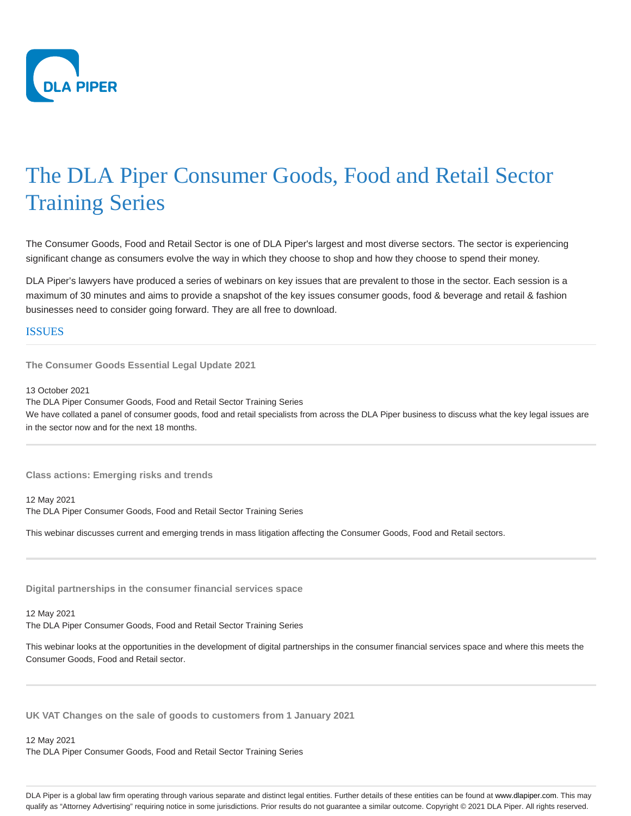

## The DLA Piper Consumer Goods, Food and Retail Sector Training Series

The Consumer Goods, Food and Retail Sector is one of DLA Piper's largest and most diverse sectors. The sector is experiencing significant change as consumers evolve the way in which they choose to shop and how they choose to spend their money.

DLA Piper's lawyers have produced a series of webinars on key issues that are prevalent to those in the sector. Each session is a maximum of 30 minutes and aims to provide a snapshot of the key issues consumer goods, food & beverage and retail & fashion businesses need to consider going forward. They are all free to download.

## **ISSUES**

**The Consumer Goods Essential Legal Update 2021**

13 October 2021

The DLA Piper Consumer Goods, Food and Retail Sector Training Series We have collated a panel of consumer goods, food and retail specialists from across the DLA Piper business to discuss what the key legal issues are in the sector now and for the next 18 months.

**Class actions: Emerging risks and trends**

12 May 2021 The DLA Piper Consumer Goods, Food and Retail Sector Training Series

This webinar discusses current and emerging trends in mass litigation affecting the Consumer Goods, Food and Retail sectors.

**Digital partnerships in the consumer financial services space**

## 12 May 2021

The DLA Piper Consumer Goods, Food and Retail Sector Training Series

This webinar looks at the opportunities in the development of digital partnerships in the consumer financial services space and where this meets the Consumer Goods, Food and Retail sector.

**UK VAT Changes on the sale of goods to customers from 1 January 2021**

## 12 May 2021

The DLA Piper Consumer Goods, Food and Retail Sector Training Series

DLA Piper is a global law firm operating through various separate and distinct legal entities. Further details of these entities can be found at www.dlapiper.com. This may qualify as "Attorney Advertising" requiring notice in some jurisdictions. Prior results do not guarantee a similar outcome. Copyright @ 2021 DLA Piper. All rights reserved.